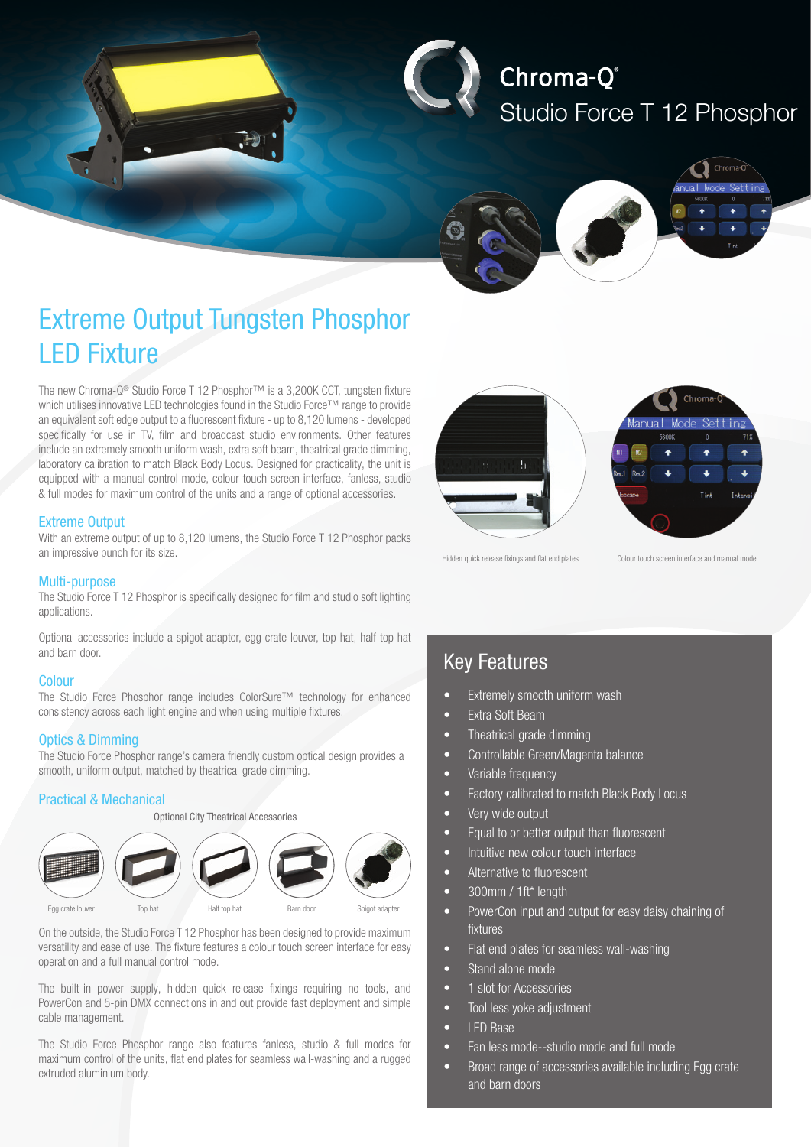

# Chroma-Q® Studio Force T 12 Phosphor



## Extreme Output Tungsten Phosphor LED Fixture

The new Chroma-Q® Studio Force T 12 Phosphor™ is a 3,200K CCT, tungsten fixture which utilises innovative LED technologies found in the Studio Force™ range to provide an equivalent soft edge output to a fluorescent fixture - up to 8,120 lumens - developed specifically for use in TV, film and broadcast studio environments. Other features include an extremely smooth uniform wash, extra soft beam, theatrical grade dimming, laboratory calibration to match Black Body Locus. Designed for practicality, the unit is equipped with a manual control mode, colour touch screen interface, fanless, studio & full modes for maximum control of the units and a range of optional accessories.

#### Extreme Output

With an extreme output of up to 8,120 lumens, the Studio Force T 12 Phosphor packs an impressive punch for its size.

#### Multi-purpose

The Studio Force T 12 Phosphor is specifically designed for film and studio soft lighting applications.

Optional accessories include a spigot adaptor, egg crate louver, top hat, half top hat and barn door.

#### **Colour**

The Studio Force Phosphor range includes ColorSure™ technology for enhanced consistency across each light engine and when using multiple fixtures.

#### Optics & Dimming

The Studio Force Phosphor range's camera friendly custom optical design provides a smooth, uniform output, matched by theatrical grade dimming.

#### Practical & Mechanical



On the outside, the Studio Force T 12 Phosphor has been designed to provide maximum versatility and ease of use. The fixture features a colour touch screen interface for easy operation and a full manual control mode.

The built-in power supply, hidden quick release fixings requiring no tools, and PowerCon and 5-pin DMX connections in and out provide fast deployment and simple cable management.

The Studio Force Phosphor range also features fanless, studio & full modes for maximum control of the units, flat end plates for seamless wall-washing and a rugged extruded aluminium body.



Hidden quick release fixings and flat end plates Colour touch screen interface and manual mode

### Key Features

- Extremely smooth uniform wash
- **Extra Soft Beam**
- Theatrical grade dimming
- Controllable Green/Magenta balance
- Variable frequency
- Factory calibrated to match Black Body Locus
- Very wide output
- Equal to or better output than fluorescent
- Intuitive new colour touch interface
- • Alternative to fluorescent
- 300mm / 1ft\* length
- PowerCon input and output for easy daisy chaining of fixtures
- Flat end plates for seamless wall-washing
- Stand alone mode
- 1 slot for Accessories
- Tool less yoke adjustment
- LED Base
- Fan less mode--studio mode and full mode
- Broad range of accessories available including Egg crate and barn doors